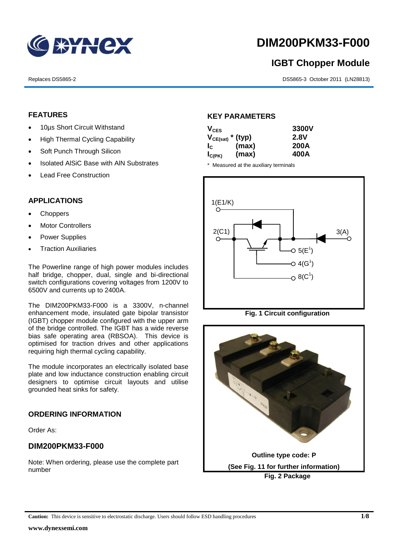

# **DIM200PKM33-F000**

# **IGBT Chopper Module**

Replaces DS5865-2 DS5865-3 October 2011 (LN28813)

### **FEATURES**

- 10µs Short Circuit Withstand
- High Thermal Cycling Capability
- Soft Punch Through Silicon
- Isolated AISiC Base with AIN Substrates
- Lead Free Construction

### **APPLICATIONS**

- Choppers
- Motor Controllers
- Power Supplies
- Traction Auxiliaries

The Powerline range of high power modules includes half bridge, chopper, dual, single and bi-directional switch configurations covering voltages from 1200V to 6500V and currents up to 2400A.

The DIM200PKM33-F000 is a 3300V, n-channel enhancement mode, insulated gate bipolar transistor (IGBT) chopper module configured with the upper arm of the bridge controlled. The IGBT has a wide reverse bias safe operating area (RBSOA). This device is optimised for traction drives and other applications requiring high thermal cycling capability.

The module incorporates an electrically isolated base plate and low inductance construction enabling circuit designers to optimise circuit layouts and utilise grounded heat sinks for safety.

### **ORDERING INFORMATION**

Order As:

### **DIM200PKM33-F000**

Note: When ordering, please use the complete part number

### **KEY PARAMETERS**

| $V_{CES}$   |                       | 3300V       |
|-------------|-----------------------|-------------|
|             | $V_{CE(sat)}$ * (typ) | <b>2.8V</b> |
| $I_{\rm c}$ | (max)                 | 200A        |
| $I_{C(PK)}$ | (max)                 | 400A        |

\* Measured at the auxiliary terminals



**Fig. 1 Circuit configuration**

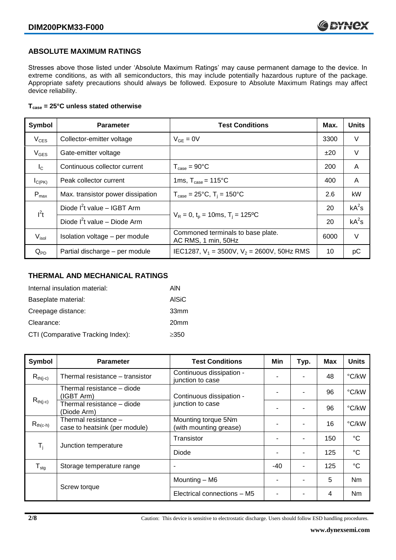### **ABSOLUTE MAXIMUM RATINGS**

Stresses above those listed under 'Absolute Maximum Ratings' may cause permanent damage to the device. In extreme conditions, as with all semiconductors, this may include potentially hazardous rupture of the package. Appropriate safety precautions should always be followed. Exposure to Absolute Maximum Ratings may affect device reliability.

### **Tcase = 25°C unless stated otherwise**

| Symbol           | <b>Parameter</b>                  | <b>Test Conditions</b>                                   |      | <b>Units</b> |
|------------------|-----------------------------------|----------------------------------------------------------|------|--------------|
| $V_{CES}$        | Collector-emitter voltage         | $V_{GE} = 0V$                                            | 3300 | V            |
| $V_{GES}$        | Gate-emitter voltage              |                                                          | ±20  | $\vee$       |
| $I_{\rm C}$      | Continuous collector current      | $T_{\text{case}} = 90^{\circ}$ C                         | 200  | A            |
| $I_{C(PK)}$      | Peak collector current            | 1ms, $T_{\text{case}} = 115^{\circ}$ C                   | 400  | A            |
| $P_{\text{max}}$ | Max. transistor power dissipation | $T_{\text{case}} = 25^{\circ}C$ , $T_i = 150^{\circ}C$   | 2.6  | kW           |
| $I^2t$           | Diode $I^2$ t value - IGBT Arm    |                                                          |      | $kA^2s$      |
|                  | Diode $I^2t$ value – Diode Arm    | $V_R = 0$ , $t_p = 10$ ms, $T_i = 125$ °C                | 20   | $kA^2s$      |
| $V_{\sf isol}$   | Isolation voltage - per module    | Commoned terminals to base plate.<br>AC RMS, 1 min, 50Hz | 6000 | V            |
| $Q_{PD}$         | Partial discharge - per module    | IEC1287, $V_1 = 3500V$ , $V_2 = 2600V$ , 50Hz RMS        | 10   | рC           |

### **THERMAL AND MECHANICAL RATINGS**

| Internal insulation material:     | AIN              |
|-----------------------------------|------------------|
| Baseplate material:               | <b>AISiC</b>     |
| Creepage distance:                | 33mm             |
| Clearance:                        | 20 <sub>mm</sub> |
| CTI (Comparative Tracking Index): | $\geq$ 350       |

| Symbol           | <b>Parameter</b>                                                               | <b>Test Conditions</b>                        | Min   | Typ.                     | <b>Max</b> | <b>Units</b>   |
|------------------|--------------------------------------------------------------------------------|-----------------------------------------------|-------|--------------------------|------------|----------------|
| $R_{th(i-c)}$    | Thermal resistance - transistor                                                | Continuous dissipation -<br>junction to case  |       | ٠                        | 48         | °C/kW          |
|                  | Thermal resistance - diode<br>(IGBT Arm)                                       | Continuous dissipation -                      |       | ٠                        | 96         | °C/kW          |
|                  | $R_{th(j-c)}$<br>junction to case<br>Thermal resistance - diode<br>(Diode Arm) |                                               |       | $\blacksquare$           | 96         | °C/kW          |
| $R_{th(c-h)}$    | Thermal resistance -<br>case to heatsink (per module)                          | Mounting torque 5Nm<br>(with mounting grease) |       | $\overline{\phantom{a}}$ | 16         | °C/kW          |
| $T_i$            | Junction temperature                                                           | Transistor                                    |       | ۰                        | 150        | °C             |
|                  |                                                                                | <b>Diode</b>                                  |       | ٠                        | 125        | °C             |
| $T_{\text{stg}}$ | Storage temperature range                                                      | ٠                                             | $-40$ | ٠                        | 125        | °C             |
|                  |                                                                                | Mounting - M6                                 |       | ٠                        | 5          | <b>Nm</b>      |
|                  | Screw torque                                                                   | Electrical connections - M5                   |       | ۰                        | 4          | N <sub>m</sub> |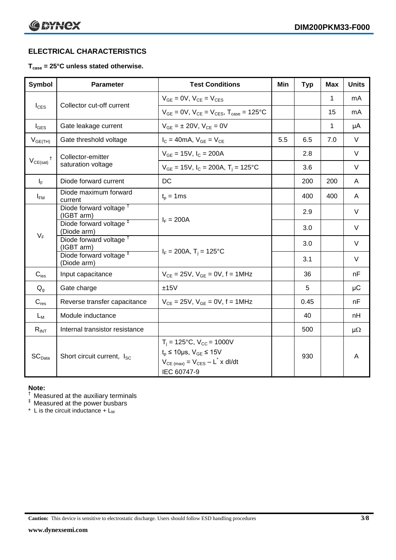### **ELECTRICAL CHARACTERISTICS**

### **Tcase = 25°C unless stated otherwise.**

| <b>Symbol</b>      | <b>Parameter</b>                                  | <b>Test Conditions</b>                                                                                                                          | Min | <b>Typ</b> | <b>Max</b> | <b>Units</b> |
|--------------------|---------------------------------------------------|-------------------------------------------------------------------------------------------------------------------------------------------------|-----|------------|------------|--------------|
|                    | Collector cut-off current                         | $V_{GE} = 0V$ , $V_{CE} = V_{CES}$                                                                                                              |     |            | 1          | mA           |
| $I_{\text{CES}}$   |                                                   | $V_{GF} = 0V$ , $V_{CF} = V_{CFS}$ , $T_{case} = 125^{\circ}C$                                                                                  |     |            | 15         | mA           |
| $I_{\text{GES}}$   | Gate leakage current                              | $V_{GF} = \pm 20V$ , $V_{CF} = 0V$                                                                                                              |     |            | 1          | μA           |
| $V_{GE(TH)}$       | Gate threshold voltage                            | $I_C = 40mA$ , $V_{GE} = V_{CE}$                                                                                                                | 5.5 | 6.5        | 7.0        | $\vee$       |
| t                  | Collector-emitter<br>saturation voltage           | $V_{GE} = 15V$ , $I_C = 200A$                                                                                                                   |     | 2.8        |            | $\vee$       |
| $V_{CE(sat)}$      |                                                   | $V_{GE}$ = 15V, $I_C$ = 200A, $T_i$ = 125°C                                                                                                     |     | 3.6        |            | V            |
| $I_F$              | Diode forward current                             | DC                                                                                                                                              |     | 200        | 200        | A            |
| $I_{FM}$           | Diode maximum forward<br>current                  | $t_p = 1$ ms                                                                                                                                    |     | 400        | 400        | A            |
|                    | Diode forward voltage <sup>+</sup><br>(IGBT arm)  | $I_F = 200A$                                                                                                                                    |     | 2.9        |            | $\vee$       |
|                    | Diode forward voltage <sup>#</sup><br>(Diode arm) |                                                                                                                                                 |     | 3.0        |            | V            |
| $V_F$              | Diode forward voltage <sup>†</sup><br>(IGBT arm)  | $I_F = 200A$ , $T_i = 125^{\circ}C$                                                                                                             |     | 3.0        |            | V            |
|                    | Diode forward voltage <sup>#</sup><br>(Diode arm) |                                                                                                                                                 |     | 3.1        |            | V            |
| $C_{\text{ies}}$   | Input capacitance                                 | $V_{CF} = 25V$ , $V_{GF} = 0V$ , f = 1MHz                                                                                                       |     | 36         |            | nF           |
| $Q_g$              | Gate charge                                       | ±15V                                                                                                                                            |     | 5          |            | μC           |
| $C_{res}$          | Reverse transfer capacitance                      | $V_{CE} = 25V$ , $V_{GE} = 0V$ , f = 1MHz                                                                                                       |     | 0.45       |            | nF           |
| $L_M$              | Module inductance                                 |                                                                                                                                                 |     | 40         |            | nH           |
| $R_{INT}$          | Internal transistor resistance                    |                                                                                                                                                 |     | 500        |            | $\mu\Omega$  |
| SC <sub>Data</sub> | Short circuit current, I <sub>SC</sub>            | $T_i = 125$ °C, $V_{CC} = 1000V$<br>$t_p \le 10 \mu s$ , $V_{GE} \le 15V$<br>$V_{CE \text{ (max)}} = V_{CES} - L^* \times dl/dt$<br>IEC 60747-9 |     | 930        |            | A            |

#### **Note:**

 $\dagger$  Measured at the auxiliary terminals

 $<sup>‡</sup>$  Measured at the power busbars</sup>

 $*$  L is the circuit inductance  $+$  L<sub>M</sub>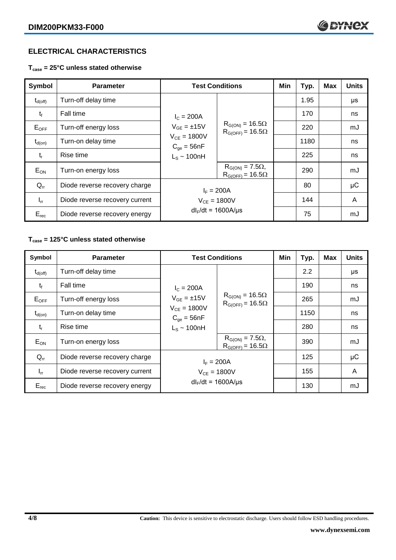### **ELECTRICAL CHARACTERISTICS**

**Tcase = 25°C unless stated otherwise**

| <b>Symbol</b>    | <b>Parameter</b>               | <b>Test Conditions</b>                                                                        |                                                        | Min | Typ. | <b>Max</b> | <b>Units</b> |
|------------------|--------------------------------|-----------------------------------------------------------------------------------------------|--------------------------------------------------------|-----|------|------------|--------------|
| $\rm t_{d(off)}$ | Turn-off delay time            | $I_c = 200A$<br>$V_{GE} = \pm 15V$<br>$V_{CE} = 1800V$<br>$C_{qe} = 56nF$<br>$L_S \sim 100nH$ | $R_{G(ON)} = 16.5\Omega$<br>$R_{G(OFF)} = 16.5\Omega$  |     | 1.95 |            | μs           |
| $t_{\rm f}$      | Fall time                      |                                                                                               |                                                        |     | 170  |            | ns           |
| $E_{OFF}$        | Turn-off energy loss           |                                                                                               |                                                        |     | 220  |            | mJ           |
| $t_{d(on)}$      | Turn-on delay time             |                                                                                               |                                                        |     | 1180 |            | ns           |
| $t_{r}$          | Rise time                      |                                                                                               |                                                        |     | 225  |            | ns           |
| $E_{ON}$         | Turn-on energy loss            |                                                                                               | $R_{G(ON)} = 7.5\Omega$ ,<br>$R_{G(OFF)} = 16.5\Omega$ |     | 290  |            | mJ           |
| $Q_{rr}$         | Diode reverse recovery charge  | $I_F = 200A$                                                                                  |                                                        |     | 80   |            | $\mu$ C      |
| $I_{rr}$         | Diode reverse recovery current | $V_{CE} = 1800V$                                                                              |                                                        |     | 144  |            | A            |
| $E_{rec}$        | Diode reverse recovery energy  | $dl_F/dt = 1600A/\mu s$                                                                       |                                                        |     | 75   |            | mJ           |

## **Tcase = 125°C unless stated otherwise**

| Symbol              | <b>Parameter</b>               |                                                                                                | <b>Test Conditions</b>                                 | Min | Typ. | <b>Max</b> | <b>Units</b> |
|---------------------|--------------------------------|------------------------------------------------------------------------------------------------|--------------------------------------------------------|-----|------|------------|--------------|
| $t_{d(\text{off})}$ | Turn-off delay time            | $I_c = 200A$<br>$V_{GF} = \pm 15V$<br>$V_{CE} = 1800V$<br>$C_{qe} = 56nF$<br>$L_s \sim 100$ nH | $R_{G(ON)} = 16.5\Omega$<br>$R_{G(OFF)} = 16.5\Omega$  |     | 2.2  |            | μs           |
| $t_{\rm f}$         | Fall time                      |                                                                                                |                                                        |     | 190  |            | ns           |
| $E_{OFF}$           | Turn-off energy loss           |                                                                                                |                                                        |     | 265  |            | mJ           |
| $t_{d(on)}$         | Turn-on delay time             |                                                                                                |                                                        |     | 1150 |            | ns           |
| $t_{r}$             | Rise time                      |                                                                                                |                                                        |     | 280  |            | ns           |
| $E_{ON}$            | Turn-on energy loss            |                                                                                                | $R_{G(ON)} = 7.5\Omega$ ,<br>$R_{G(OFF)} = 16.5\Omega$ |     | 390  |            | mJ           |
| $Q_{rr}$            | Diode reverse recovery charge  | $I_F = 200A$                                                                                   |                                                        |     | 125  |            | $\mu$ C      |
| $I_{rr}$            | Diode reverse recovery current | $V_{CE} = 1800V$                                                                               |                                                        |     | 155  |            | A            |
| $E_{rec}$           | Diode reverse recovery energy  | $dl_F/dt = 1600A/\mu s$                                                                        |                                                        |     | 130  |            | mJ           |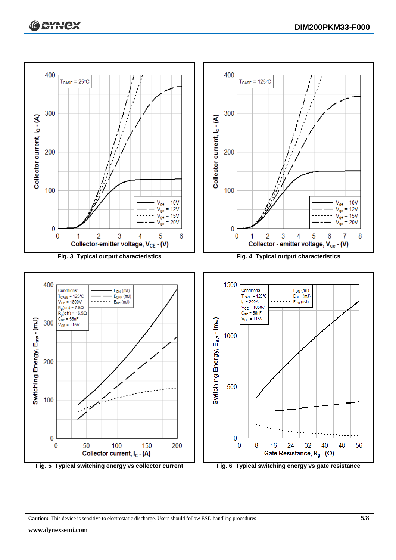

**Caution:** This device is sensitive to electrostatic discharge. Users should follow ESD handling procedures **5/8**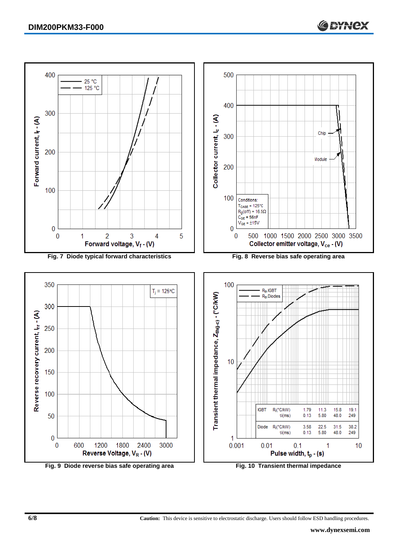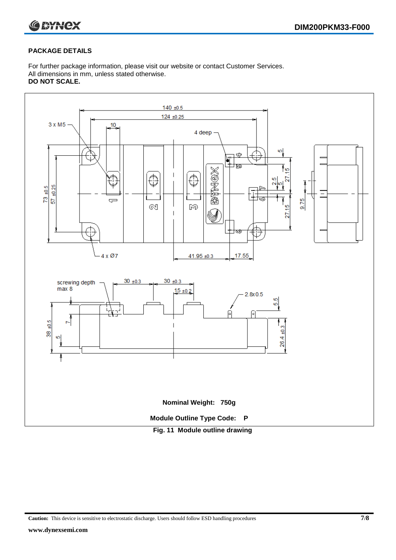

### **PACKAGE DETAILS**

For further package information, please visit our website or contact Customer Services. All dimensions in mm, unless stated otherwise. **DO NOT SCALE.**



**Caution:** This device is sensitive to electrostatic discharge. Users should follow ESD handling procedures **7/8**